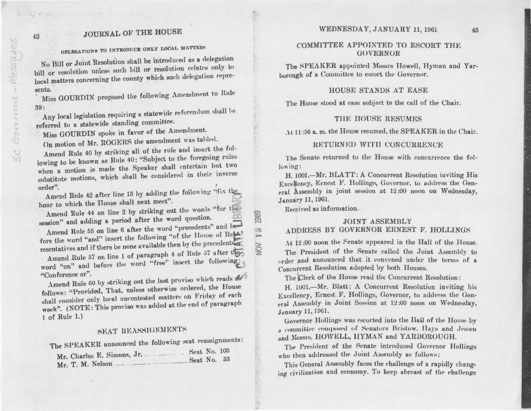## **JOURNAL OF THE HOUSE**

# DELEGATIONS TO INTRODUCE ONLY LOCAL MATTERS

No Bill or Joint Resolution shall be introduced as a delegation bill or resolution unless such bill or resolution relates only to local matters concerning the county which such delegation represents.

Miss GOURDIN proposed the following Amendment to Rule  $39:$ 

Any local legislation requiring a statewide referendum shall be referred to a statewide standing committee.

Miss GOURDIN spoke in favor of the Amendment.

On motion of Mr. ROGERS the amendment was tabled.

Amend Rule 40 by striking all of the rule and insert the following to be known as Rule 40: "Subject to the foregoing rules when a motion is made the Speaker shall entertain but two substitute motions, which shall be considered in their inverse order".

Amend Rule 42 after line 13 by adding the following "fix the hour to which the House shall next meet".

Amend Rule 44 on line 2 by striking out the words "for the session" and adding a period after the word question.

Amend Rule 55 on line 6 after the word "precedents" and before the word "and" insert the following "of the House of Rep." resentatives and if there be none available then by the precedents

Amend Rule 57 on line 1 of paragraph 4 of Rule 57 after they word "on" and before the word "free" insert the following: "Conference or".

Amend Rule 60 by striking out the last proviso which reads as follows: "Provided, That, unless otherwise ordered, the House shall consider only local uncontested matters on Friday of each week". (NOTE: This proviso was added at the end of paragraph 1 of Rule 1.)

# SEAT REASSIGNMENTS

The SPEAKER announced the following seat reassignments:

| $\mathbf{a} \mathbf{v}$       | Seat No. 103 |  |  |
|-------------------------------|--------------|--|--|
| Mr. Charles E. Simons, Jr.    |              |  |  |
|                               | Seat No. 53  |  |  |
| Mr. T. M. Nelson<br>$-0.0000$ |              |  |  |

### WEDNESDAY, JANUARY 11, 1961

## COMMITTEE APPOINTED TO ESCORT THE **GOVERNOR**

The SPEAKER appointed Messrs Howell, Hyman and Yarborough of a Committee to escort the Governor.

### HOUSE STANDS AT EASE

The House stood at case subject to the call of the Chair.

### THE HOUSE RESUMES

At 11:56 a.m. the House resumed, the SPEAKER in the Chair.

### RETURNED WITH CONCURRENCE

The Senate returned to the House with concurrence the following:

H. 1001.-Mr. BLATT: A Concurrent Resolution inviting His Excellency, Ernest F. Hollings, Governor, to address the General Assembly in joint session at 12:00 noon on Wednesday, January 11, 1961.

Received as information.

### **JOINT ASSEMBLY** ADDRESS BY GOVERNOR ERNEST F. HOLLINGS

At 12:00 noon the Senate appeared in the Hall of the House. The President of the Senate called the Joint Assembly to order and announced that it convened under the terms of a Concurrent Resolution adopted by both Houses.

The Clerk of the House read the Concurrent Resolution:

H. 1001.-Mr. Blatt: A Concurrent Resolution inviting his Excellency, Ernest F. Hollings, Governor, to address the General Assembly in Joint Session at 12:00 noon on Wednesday. January 11, 1961.

Governor Hollings was escorted into the Hall of the House by a committee composed of Senators Bristow. Hays and Jessen and Messis. HOWELL, HYMAN and YARBOROUGH.

The President of the Senate introduced Governor Hollings who then addressed the Joint Assembly as follows:

This General Assembly faces the challenge of a rapidly changing civilization and economy. To keep abreast of the challenge

Message

T.

 $6x3$ 

Gayern

Se

**ELTIMORE** 

42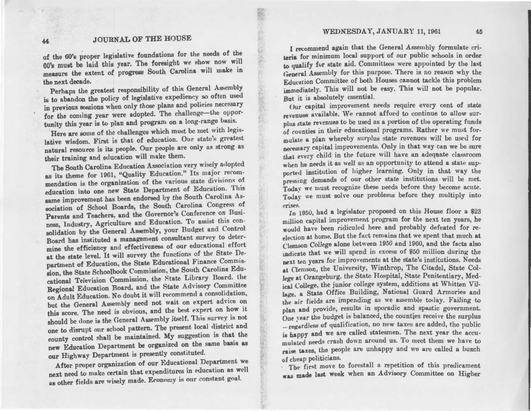#### WEDNESDAY, JANUARY 11,1961 45

# 44 JOURNAL OF THE HOUSE

k.,.

t

*:*  $155$ 1

> W' <;· ,!f;:.

of the 60's proper legislative foundations for the needs of the 60's must be laid this year. The foresight we show now will measure the extent of progress South Carolina will make in the next decade.

Perhaps the greatest responsibility of this General Assembly is to abandon the policy of legislative expediency so often used in previous sessions when only those plans and policies necessary for the coming year were adopted. The challenge-the opportunity this year is to plan and program on a long-range basis.

Here are some of the challenges which must be met with legislative wisdom. First is that of education. Our state's greatest nntural resource is its people. Our people are only as strong as their training and education will make them.

The South Carolina Education Association very wisely adopted as its theme for 1961, "Quality Education." Its major recommendation is the organization of the Yarions state divisions of education into one new State Department of Education. This same improvement has been endorsed by the South Carolina Association of School Boards, the South Carolina Congress of Parents and Teachers, and the Governor's Conference on Business, Industry, Agriculture and Education. To assist this consolidation by the General Assembly, your Budget and Control Board has instituted a management consultant survey to determine the efficiency and effectiveness of our educational effort at the state level. It will survey the functions of the State Department of Education, the State Educational Finance Commission, the State Schoolbook Commission, the South Carolina Educational Television Commission, the State Library Bonrd. the Regional Education Board, and the State Advisory Committee on Adult Education. No douht it will recommend a consolidation, but the General Assembly need not wait on expert advice on this score. The need is obvious, and the best expert on how it should be done is the General Assembly itself. This survey is not one to disrupt our school pattern. The present local district and county control shall be maintained. My suggestion is that the new Education Department be organized on the same basis as our Highway Department is presently constituted.

After proper organization of our Educational Department we next need to make certain that expenditures in education as well as other fields are wisely made. Economy is our constant goal.

I recommend again that the General Assembly formulate criteria for minimum local support of our public schools in order to qualify for state aid. Committees were appointed by the last General Assembly for this purpose. There is no reason why the Education Committee of both Houses cannot tackle this problem immediately. This will not be easy. This will not be popular. But it is absolutely essential.

Our capital improvement needs require every cent of state revenues available. We cannot afford to continue to allow surplus state revenues to be used as a portion of the operating funds of counties in their educational programs. Rather we must formulate a plan whereby surplus state revenues will be used for necessary capital improvements. Only in that way can we be sure that every child in the future will have an adequate classroom when he needs it as well as an opportunity to attend a state supported institution of higher learning. Only in that way the pressing demands of our other state institutions will be met. Today we must recognize these needs before they become acute. Today we must solve our problems before they multiply into crises.

In 1950, had a legislator proposed on this House floor a \$23 million capital improvement program for the next ten years, he would have been ridiculed here and probably defeated for reelection at home. But the fact remains that we spent that much at ('lemwn College alone between 1950 and 1960, and the facts also indicate that we will spend in excess of \$50 million during the next ten years for improvements at the state's institutions. Needs at Clemson, the University, Winthrop, The Citadel, State College at Orangeburg. the State Hospital, State Penitentiary, Medical College, the junior college system, additions at Whitten Village. a State Office Building, National Guard Armories and the air fields are impending as we assemble today. Failing to plan and provide, results in sporadic and spastic government. One vear the budget is balanced, the counties receive the surplus - regardless of qualification, no new taxes are added, the public *is* happy and we are called statesmen. The next year the accumulated needs crash down around us. To meet them we have to raise taxes, the people are unhappy and we are called a bunch of cheap politicians.

The first move to forestall a repetition of this predicament was made last week when an Advisory Committee on Higher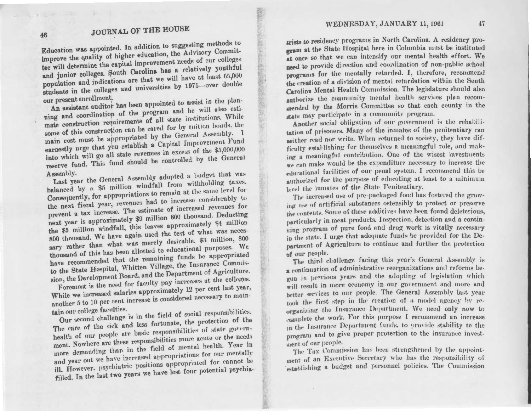# **JOURNAL OF THE HOUSE**

Education was appointed. In addition to suggesting methods to improve the quality of higher education, the Advisory Committee will determine the capital improvement needs of our colleges and junior colleges. South Carolina has a relatively youthful population and indications are that we will have at least 65,000 students in the colleges and universities by 1975-over double our present enrollment.

An assistant auditor has been appointed to assist in the planning and coordination of the program and he will also estimate construction requirements of all state institutions. While some of this construction can be cared for by tuition bonds, the main cost must be appropriated by the General Assembly. I earnestly urge that you establish a Capital Improvement Fund into which will go all state revenues in excess of the \$5,000,000 reserve fund. This fund should be controlled by the General

Last year the General Assembly adopted a budget that was Assembly. balanced by a \$5 million windfall from withholding taxes. Consequently, for appropriations to remain at the same level for the next fiscal year, revenues had to increase considerably to prevent a tax increase. The estimate of increased revenues for next year is approximately \$9 million 800 thousand. Deducting the \$5 million windfall, this leaves approximately \$4 million 800 thousand. We have again used the test of what was necessary rather than what was merely desirable. \$3 million, 800 thousand of this has been allotted to educational purposes. We have recommended that the remaining funds be appropriated to the State Hospital, Whitten Village, the Insurance Commission, the Development Board, and the Department of Agriculture. Foremost is the need for faculty pay increases at the colleges.

While we increased salaries approximately 12 per cent last year, another 5 to 10 per cent increase is considered necessary to maintain our college faculties.

Our second challenge is in the field of social responsibilities. The care of the sick and less fortunate, the protection of the health of our people are basic responsibilities of state government. Nowhere are these responsibilities more acute or the needs more demanding than in the field of mental health. Year in and year out we have increased appropriations for our mentally ill. However. psychiatric positions appropriated for cannot be filled. In the last two years we have lost four potential psychiatrists to residency programs in North Carolina. A residency program at the State Hospital here in Columbia must be instituted at once so that we can intensify our mental health effort. We need to provide direction and coordination of non-public school programs for the mentally retarded. I, therefore, recommend the creation of a division of mental retardation within the South Carolina Mental Health Commission. The legislature should also authorize the community mental health services plan recommended by the Morris Committee so that each county in the state may participate in a community program.

Another social obligation of our government is the rehabilitation of prisoners. Many of the inmates of the penitentiary can meither read nor write. When returned to society, they have difficulty establishing for themselves a meaningful role, and making a meaningful contribution. One of the wisest investments we can make would be the expenditure necessary to increase the educational facilities of our penal system. I recommend this be authorized for the purpose of educating at least to a minimum level the inmates of the State Penitentiary.

The increased use of pre-packaged food has fostered the growing use of artificial substances ostensibly to protect or preserve the contents. Some of these additives have been found deleterious, particularly in meat products. Inspection, detection and a continuing program of pure food and drug work is vitally necessary in the state. I urge that adequate funds be provided for the Department of Agriculture to continue and further the protection of our people.

The third challenge facing this year's General Assembly is a continuation of administrative reorganizations and reforms begun in previous years and the adopting of legislation which will result in more economy in our government and more and better services to our people. The General Assembly last year took the first step in the creation of a model agency by reorganizing the Insurance Department. We need only now to complete the work. For this purpose I recommend an increase in the Insurance Department funds, to provide stability to the program and to give proper protection to the insurance investment of our people.

The Tax Commission has been strengthened by the appointment of an Executive Secretary who has the responsibility of establishing a budget and personnel policies. The Commission

46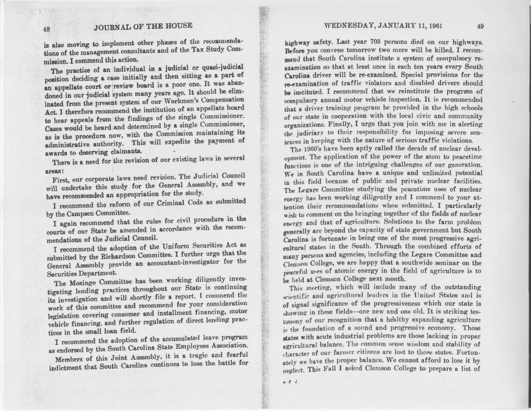is also moving to implement other phases of the recommendations of the management consultants and of the Tax Study Commission. I commend this action.

The practice of an individual in a judicial or quasi-judicial position deciding a case initially and then sitting as a part of an appellate court or review board is a poor one. It was abandoned in our judicial system many years ago. It should be eliminated from the present system of our Workmen's Compensation Act. I therefore recommend the institution of an appellate board to hear appeals from the findings of the single Commissioner. Cases would be heard ,and determined by a single Commissioner, as is the procedure now, with the Commission maintaining its administrative authority. This will expedite the payment of awards to deserving claimants.

There is a need for the revision of our existing laws in several

areas: 1 First, our corporate laws need revision. The Judicial Council will undertake this study for the General Assembly, and we have recommended an appropriation for the study.

I recommend the reform of our Criminal Code as submitted by the Campsen Committee.

I again recommend that the rules for civil procedure in the courts of our State be amended in accordance with the recommendations of the Judicial Council.

I recommend the adoption of the Uniform Securities Act as submitted by the Richardson Committee. I further urge that the General Assembly provide an accountant-investigator for the Securities Department.

The Mozingo Committee has been working diligently investigating lending practices throughout our State is continuing its investigation and will shortly file a report. I commend the work of this committee and recommend for your consideration legislation covering consumer and installment financing, motor vehicle financing. and further regulation of direct lending practices in the small loan field.

I recommend the adoption of the accumulated leave program as endorsed by the South Carolina State Employees Association.

Members of this Joint Assembly, it is a tragic and fearful indictment that South Carolina continues to lose the battle for

highway safety. Last year 703 persons died on our highways. Before you convene tomorrow two more will be killed. I recommend that South Carolina institute a system of compulsory reexamination so that at least once in each ten years every South Carolina driver will be re-examined. Special provisions for the re-examination of traffic violators and disabled drivers should be instituted. I recommend that we reinstitute the program of compulsory annual motor vehicle inspection. It is recommended that a driver training program be provided in the high schools of our state in cooperation with the local civic and community organizations. Finally, I urge that you join with me in alerting the judiciary to their responsibility for imposing severe sentences in keeping with the nature of serious traffic violations.

The 1960's have been aptly called the decade of nuclear development. The application of the power of the atom to peacetime functions is one of the intriguing challenges of our generation. We in South Carolina have a unique and unlimited potential in this field because of public and private nuelear facilities. The Legare Committee studying the peacetime uses of nuclear energy has been working diligently and I commend to your attention their recommendations when submitted. I particularly wish to comment on the bringing together of the fields of nuclear energy and that of agriculture. Solutions to the farm problem pnerally are beyond the capacity of state government but South Carolina is fortunate in being one of the most progressive agricultural states in the South. Through the combined efforts of many persons and agencies, including the Legare Committee and Clemson College, we are happy that a southwide seminar on the neaceful uses of atomic energy in the field of agriculture is to be held at Clemson College next month.

This meeting, which will include many of the outstanding scientific and agricultural leaders in the United States and is of signal significance of the progressiveness which our state is in these fields---one new and one old. It is striking testimony of our recognition that a healthy expanding agriculture the foundation of a sound and progressive economy. Those rt.ttes with acute industrial problems are those lacking in proper agricultural balance. The common sense wisdom and stability of character of our farmer citizens are lost to those states. Fortunately we have the proper balance. We cannot afford to lose it by neglect. This Fall I asked Clemson College to prepare a list of

 $.7.3$ 

**(Wire)** t:'·

tf

f1 t'[ if t.c.Jf M

*<t'*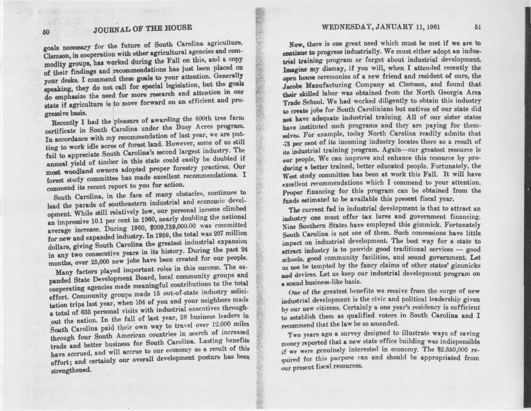goals necessary for the future of South Carolina agriculture. Clemson, in cooperation with other agricultural agencies and commodity groups, has worked during the Fall on this, and a copy of their findings and recommendations has just been placed on your desks. I commend these goals to your attention. Generally speaking, they do not call for special legislation, but the goals do emphasize the need for more research and attention in our state if agriculture is to move forward on an efficient and progressive basis.

Recently I had the pleasure of awarding the 400th tree farm certificate in South Carolina under the Busy Acres program. In accordance with my recommendation of last year, we are putting to work idle acres of forest land. However, some of us still fail to appreciate South Carolina's second largest industry. The .annual yield of timber in this state could easily be doubled if most woodland owners adopted proper forestry practices. Our forest study committee has made excellent recommendations. I commend its recent report to you for action.

South Carolina, in the face of many obstacles, continues to lead the parade of southeastern industrial and economic development. While still relatively low, our personal income climbed an impressive 10.1 per cent in 1060, nearly doubling the national average increase. During 1960, \$209,759,000.00 was committed for new and expanded industry. In 1959, the total was 207 million dollars, giving South Carolina the greatest industrial expansion in any two consecutive years in its history. During the past 24 months, over 25,000 new jobs have been created for our people.

Many factors played important roles in this success. The expanded State Development Board, local community groups and cooperating agencies made meaningful contributions to the total effort. Community groups made 15 out-of-state industry solicitation trips last year, when 104 of you and your neighbors made a total of 633 personal visits with industrial executives throughout the nation. In the fall of last year, 28 business leaders in South Carolina paid their own way to travel over 12.000 miles through four South American countries in search of increased trade and better business for South Carolina. Lasting benefits have accrued, and will accrue to our economy as a result of this effort; and certainly our overall development posture has been strengthened.

Now, there is one great need which must be met if we are to continue to progress industrially. We must either adopt an industrial training program or forget about industrial development. Imagine my dismay, if you will, when I attended recently the open house ceremonies of a new friend and resident of ours, the Jacobs Manufacturing Company at Clemson, and found that their skilled labor was obtained from the North Georgia Area Trade School. We had worked diligently to obtain this industry ac create jobs for South Carolinians but natives of our state did not have adequate industrial training. All of our sister states have instituted such programs and they are paying for themsalves. For example, today North Carolina readily admits that .j3 per cent of its incoming industry locates there as a result of its industrial training program. Again--our greatest resource is *our* people. We can improve and enhance this resource by producing a better trained, better educated people. Fortunately, the West study committee has been at work this Fall. It will have excellent recommendations which I commend to your attention. proper financing for this program can be obtained from the funds estimated to be available this present fiscal year.

The current fad in industrial development is that to attract an industry one must offer tax lures and government financing. Southern States have employed this gimmick. Fortunately South Carolina is not one of them. Such concessions have little impact on industrial development. The best way for a state to attract industry is to provide good traditional services  $-$  good I!Chools. good community facilities, and sound government. Let us not be tempted by the fancy claims of other states' gimmicks and devices. Let us keep our industrial development program on **a sound business-like basis.** 

One of the greatest henefits we receive from the surge of new industrial development is the civic and political leadership given by our new citizens. Certainly a one year's residency is sufficient to establish them as qualified voters in South Carolina and I recommend that the law be so amended.

Two years ago a survey designed to illustrate ways of saving money reported that a new state office building was indispensible if we were genuinely interested in economy. The \$2.350,000 required for this purpose can and should be appropriated from our present fiscal resources.